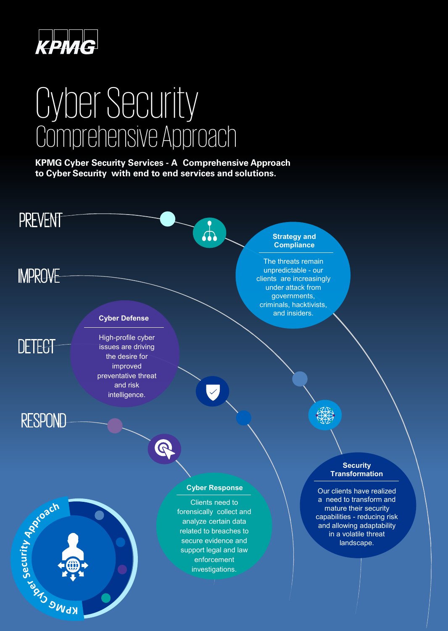

# CyberSecurity ComprehensiveApproach

**KPMG Cyber Security Services - A Comprehensive Approach to Cyber Security with end to end services and solutions.**